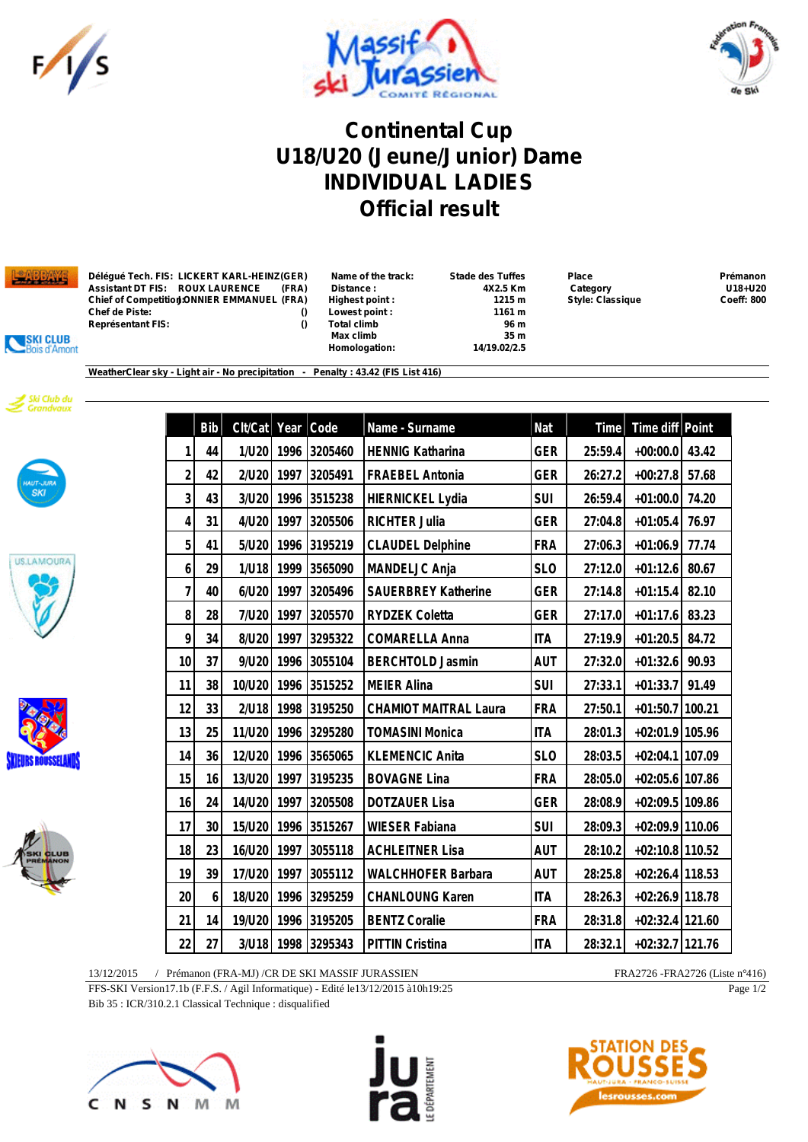





## **Continental Cup U18/U20 (Jeune/Junior) Dame INDIVIDUAL LADIES Official result**



| Déléqué Tech. FIS: LICKERT KARL-HEINZ(GER)   | Name of the track: | <b>Stade des Tuffes</b> | <b>Place</b>            | Prémanon          |
|----------------------------------------------|--------------------|-------------------------|-------------------------|-------------------|
| Assistant DT FIS:     ROUX LAURENCE<br>(FRA) | Distance :         | 4X2.5 Km                | Category                | U18+U20           |
| Chief of Competition!ONNIER EMMANUEL (FRA)   | Highest point:     | 1215 m                  | <b>Style: Classique</b> | <b>Coeff: 800</b> |
| Chef de Piste:                               | Lowest point:      | 1161 m                  |                         |                   |
| Représentant FIS:                            | Total climb        | 96 m                    |                         |                   |

| Name of the track  |
|--------------------|
| <b>Distance:</b>   |
| Highest point:     |
| Lowest point:      |
| <b>Total climb</b> |
| Max climb          |
| Homologation:      |

 **Max climb 35 m Homologation: 14/19.02/2.5**

**Chief of Competition: Style: Classique Coeff: 800**<br> **1161 m Style: Classique Coeff: 800** 





SKI CLUB is d'Amont









**Bib Clt/Cat Year Code Name - Surname Nat Time Time diff Point 44 1/U20 1996 3205460 HENNIG Katharina GER 25:59.4 +00:00.0 43.42 42 2/U20 1997 3205491 FRAEBEL Antonia GER 26:27.2 +00:27.8 57.68 43 3/U20 1996 3515238 HIERNICKEL Lydia SUI 26:59.4 +01:00.0 74.20 31 4/U20 1997 3205506 RICHTER Julia GER 27:04.8 +01:05.4 76.97 41 5/U20 1996 3195219 CLAUDEL Delphine FRA 27:06.3 +01:06.9 77.74 29 1/U18 1999 3565090 MANDELJC Anja SLO 27:12.0 +01:12.6 80.67 40 6/U20 1997 3205496 SAUERBREY Katherine GER 27:14.8 +01:15.4 82.10 28 7/U20 1997 3205570 RYDZEK Coletta GER 27:17.0 +01:17.6 83.23 34 8/U20 1997 3295322 COMARELLA Anna ITA 27:19.9 +01:20.5 84.72 37 9/U20 1996 3055104 BERCHTOLD Jasmin AUT 27:32.0 +01:32.6 90.93 38 10/U20 1996 3515252 MEIER Alina SUI 27:33.1 +01:33.7 91.49 33 2/U18 1998 3195250 CHAMIOT MAITRAL Laura FRA 27:50.1 +01:50.7 100.21 25 11/U20 1996 3295280 TOMASINI Monica ITA 28:01.3 +02:01.9 105.96 36 12/U20 1996 3565065 KLEMENCIC Anita SLO 28:03.5 +02:04.1 107.09 16 13/U20 1997 3195235 BOVAGNE Lina FRA 28:05.0 +02:05.6 107.86 24 14/U20 1997 3205508 DOTZAUER Lisa GER 28:08.9 +02:09.5 109.86 30 15/U20 1996 3515267 WIESER Fabiana SUI 28:09.3 +02:09.9 110.06 23 16/U20 1997 3055118 ACHLEITNER Lisa AUT 28:10.2 +02:10.8 110.52 39 17/U20 1997 3055112 WALCHHOFER Barbara AUT 28:25.8 +02:26.4 118.53 6 18/U20 1996 3295259 CHANLOUNG Karen ITA 28:26.3 +02:26.9 118.78 14 19/U20 1996 3195205 BENTZ Coralie FRA 28:31.8 +02:32.4 121.60 27 3/U18 1998 3295343 PITTIN Cristina ITA 28:32.1 +02:32.7 121.76**

13/12/2015 / Prémanon (FRA-MJ) /CR DE SKI MASSIF JURASSIEN FRA2726 -FRA2726 -FRA2726 (Liste n°416)

FFS-SKI Version17.1b (F.F.S. / Agil Informatique) - Edité le13/12/2015 à10h19:25

Bib 35 : ICR/310.2.1 Classical Technique : disqualified







Page 1/2